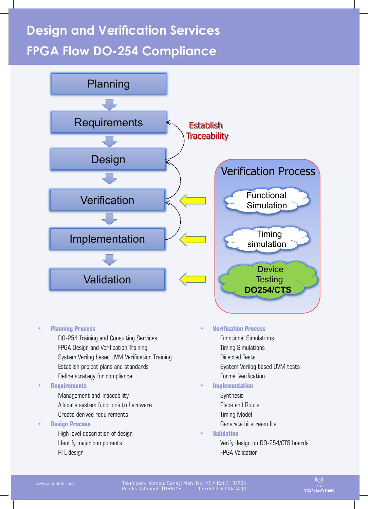# **Design and Verification Services FPGA Flow DO-254 Compliance**



#### • **Planning Process**

 DO-254 Training and Consulting Services FPGA Design and Verification Training System Verilog based UVM Verification Training Establish project plans and standards Define strategy for compliance

#### • **Requirements**

- Management and Traceability Allocate system functions to hardware Create derived requirements
- **Design Process**
	- High level description of design Identify major components RTL design

### • **Verification Process**

- Functional Simulations Timing Simulations Directed Tests System Verilog based UVM tests
- Formal Verification

### • **Implementation**

- **Synthesis**  Place and Route Timing Model Generate bitstream file
- **• Validation** Verify design on DO-254/CTS boards FPGA Validation